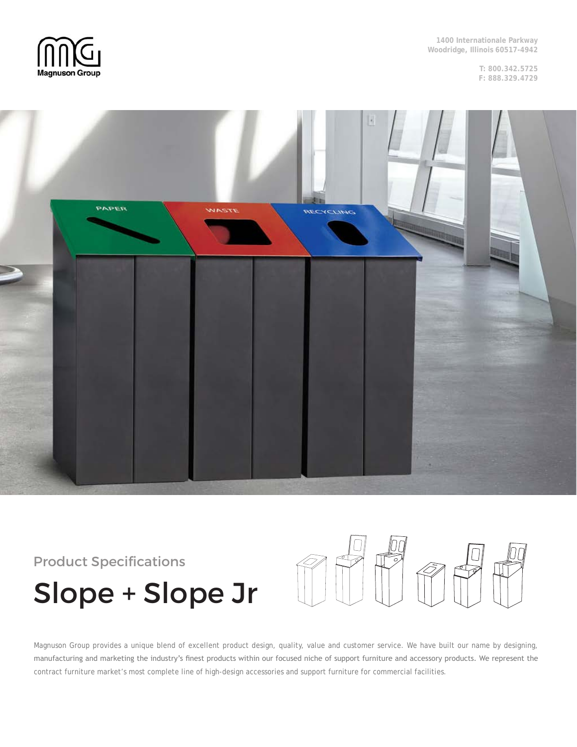

**1400 Internationale Parkway Woodridge, Illinois 60517-4942**

> **T: 800.342.5725 F: 888.329.4729**



# Product Specifications Slope + Slope Jr



Magnuson Group provides a unique blend of excellent product design, quality, value and customer service. We have built our name by designing, manufacturing and marketing the industry's finest products within our focused niche of support furniture and accessory products. We represent the contract furniture market's most complete line of high-design accessories and support furniture for commercial facilities.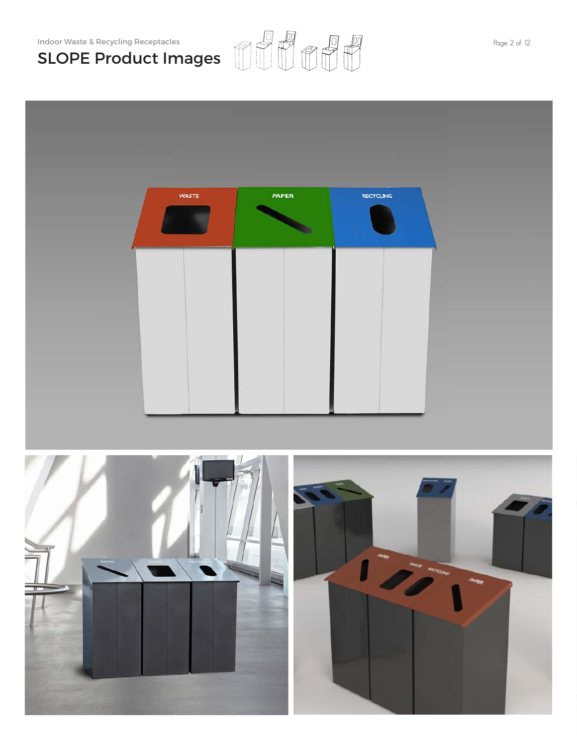Indoor Waste & Recycling Receptacles  $\oslash$   $\oslash$   $\oslash$   $\oslash$   $\oslash$   $\oslash$   $\oslash$   $\oslash$   $\oslash$   $\oslash$   $\oslash$   $\oslash$   $\oslash$   $\oslash$   $\oslash$   $\oslash$   $\oslash$   $\oslash$   $\oslash$   $\oslash$   $\oslash$   $\oslash$   $\oslash$   $\oslash$   $\oslash$   $\oslash$   $\oslash$   $\oslash$   $\oslash$   $\oslash$   $\oslash$ SLOPE Product Images

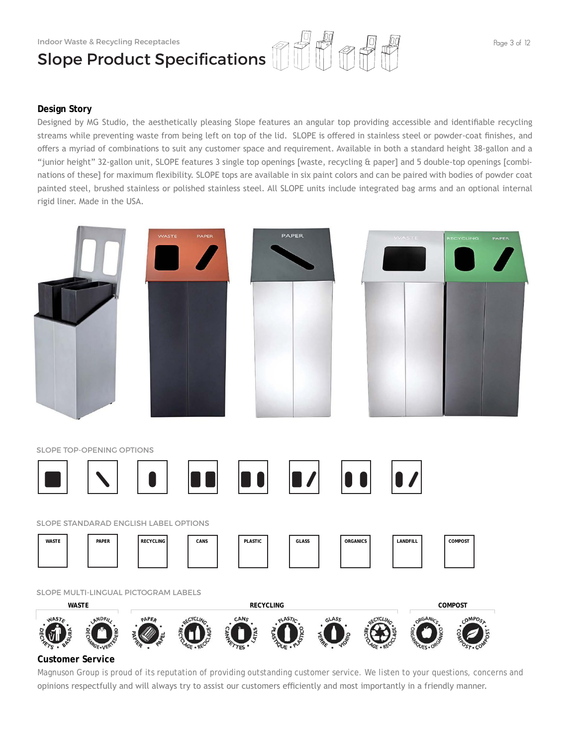## Indoor Waste & Recycling Receptacles Slope Product Specifications

### **Design Story**

Designed by MG Studio, the aesthetically pleasing Slope features an angular top providing accessible and identifiable recycling streams while preventing waste from being left on top of the lid. SLOPE is offered in stainless steel or powder-coat finishes, and offers a myriad of combinations to suit any customer space and requirement. Available in both a standard height 38-gallon and a "junior height" 32-gallon unit, SLOPE features 3 single top openings [waste, recycling & paper] and 5 double-top openings [combinations of these] for maximum flexibility. SLOPE tops are available in six paint colors and can be paired with bodies of powder coat painted steel, brushed stainless or polished stainless steel. All SLOPE units include integrated bag arms and an optional internal rigid liner. Made in the USA.



### **Customer Service**

Magnuson Group is proud of its reputation of providing outstanding customer service. We listen to your questions, concerns and opinions respectfully and will always try to assist our customers efficiently and most importantly in a friendly manner.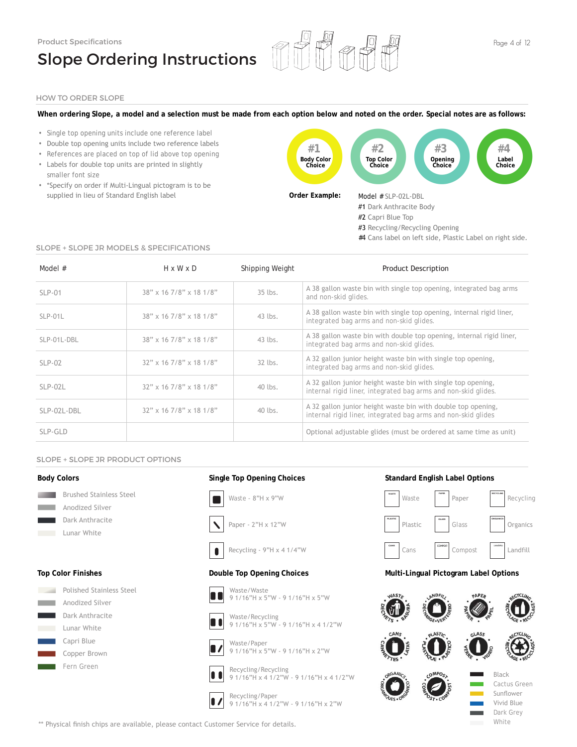

#### HOW TO ORDER SLOPE

#### **When ordering Slope, a model and a selection must be made from each option below and noted on the order. Special notes are as follows:**

- Single top opening units include one reference label
- Double top opening units include two reference labels
- References are placed on top of lid above top opening
- Labels for double top units are printed in slightly smaller font size
- \*Specify on order if Multi-Lingual pictogram is to be supplied in lieu of Standard English label



#### SLOPE + SLOPE JR MODELS & SPECIFICATIONS

| Model #     | $H \times W \times D$             | Shipping Weight | <b>Product Description</b>                                                                                                     |
|-------------|-----------------------------------|-----------------|--------------------------------------------------------------------------------------------------------------------------------|
| $SLP-01$    | $38" \times 167/8" \times 181/8"$ | $35$ lbs.       | A 38 gallon waste bin with single top opening, integrated bag arms<br>and non-skid glides.                                     |
| $SLP-01L$   | $38" \times 167/8" \times 181/8"$ | 43 lbs.         | A 38 gallon waste bin with single top opening, internal rigid liner,<br>integrated bag arms and non-skid glides.               |
| SLP-01L-DBL | $38" \times 167/8" \times 181/8"$ | 43 lbs.         | A 38 gallon waste bin with double top opening, internal rigid liner,<br>integrated bag arms and non-skid glides.               |
| $SLP-02$    | $32"$ x 16 7/8" x 18 1/8"         | 32 lbs.         | A 32 gallon junior height waste bin with single top opening,<br>integrated bag arms and non-skid glides.                       |
| $SLP-02L$   | $32"$ x 16 7/8" x 18 1/8"         | 40 lbs.         | A 32 gallon junior height waste bin with single top opening,<br>internal rigid liner, integrated bag arms and non-skid glides. |
| SLP-02L-DBL | $32"$ x 16 7/8" x 18 1/8"         | 40 lbs.         | A 32 gallon junior height waste bin with double top opening,<br>internal rigid liner, integrated bag arms and non-skid glides  |
| SLP-GLD     |                                   |                 | Optional adjustable glides (must be ordered at same time as unit)                                                              |

#### SLOPE + SLOPE JR PRODUCT OPTIONS

Polished Stainless Steel Anodized Silver Dark Anthracite Lunar White Capri Blue Copper Brown Fern Green

#### **Body Colors**

25 25 25

25 25 25



**Top Color Finishes**

**Single Top Opening Choices**







Recycling - 9"H x 4 1/4"W  $\bullet$ 

#### **Double Top Opening Choices**



9 1/16"H x 5"W - 9 1/16"H x 5"W



Waste/Recycling 9 1/16"H x 5"W - 9 1/16"H x 4 1/2"W



Waste/Paper 9 1/16"H x 5"W - 9 1/16"H x 2"W

Recycling/Recycling n 9 1/16"H x 4 1/2"W - 9 1/16"H x 4 1/2"W



Recycling/Paper 9 1/16"H x 4 1/2"W - 9 1/16"H x 2"W



#### **Multi-Lingual Pictogram Label Options**



\*\* Physical finish chips are available, please contact Customer Service for details.

#4 Cans label on left side, Plastic Label on right side.

**Standard English Label Options**

252525252525 Black Dark Grey White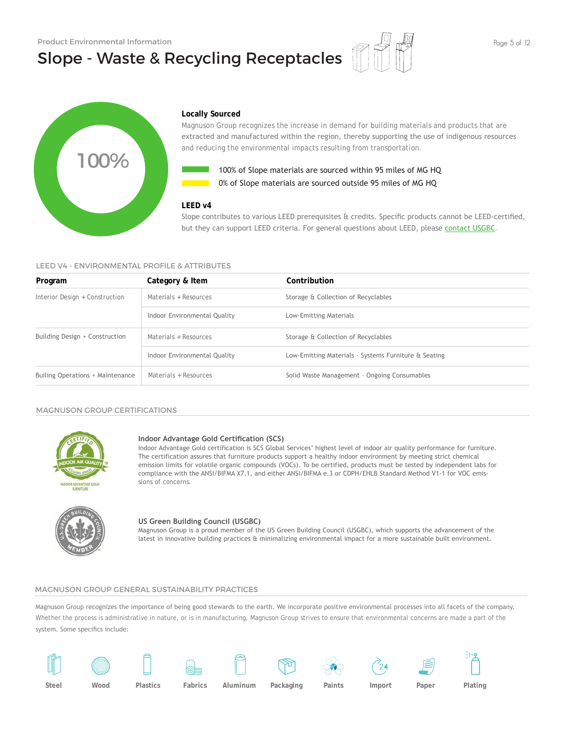# Slope - Waste & Recycling Receptacles





#### **Locally Sourced**

Magnuson Group recognizes the increase in demand for building materials and products that are extracted and manufactured within the region, thereby supporting the use of indigenous resources and reducing the environmental impacts resulting from transportation.



100% of Slope materials are sourced within 95 miles of MG HQ 0% of Slope materials are sourced outside 95 miles of MG HQ

#### **LEED v4**

#### LEED V4 - ENVIRONMENTAL PROFILE & ATTRIBUTES

|                                              |                                                                 | 100% of Slope materials are sourced within 95 miles of MG HQ<br>0% of Slope materials are sourced outside 95 miles of MG HQ                                                                                                                                                                                                                                                                                                                                                                  |
|----------------------------------------------|-----------------------------------------------------------------|----------------------------------------------------------------------------------------------------------------------------------------------------------------------------------------------------------------------------------------------------------------------------------------------------------------------------------------------------------------------------------------------------------------------------------------------------------------------------------------------|
| LEED V4 - ENVIRONMENTAL PROFILE & ATTRIBUTES | LEED v4                                                         | Slope contributes to various LEED prerequisites & credits. Specific products cannot be LEED-certified,<br>but they can support LEED criteria. For general questions about LEED, please contact USGBC.                                                                                                                                                                                                                                                                                        |
| Program                                      | Category & Item                                                 | Contribution                                                                                                                                                                                                                                                                                                                                                                                                                                                                                 |
| Interior Design + Construction               | Materials + Resources                                           | Storage & Collection of Recyclables                                                                                                                                                                                                                                                                                                                                                                                                                                                          |
|                                              | Indoor Environmental Quality                                    | Low-Emitting Materials                                                                                                                                                                                                                                                                                                                                                                                                                                                                       |
| Building Design + Construction               | Materials + Resources                                           | Storage & Collection of Recyclables                                                                                                                                                                                                                                                                                                                                                                                                                                                          |
|                                              | Indoor Environmental Quality                                    | Low-Emitting Materials - Systems Furniture & Seating                                                                                                                                                                                                                                                                                                                                                                                                                                         |
| Builing Operations + Maintenance             | Materials + Resources                                           | Solid Waste Management - Ongoing Consumables                                                                                                                                                                                                                                                                                                                                                                                                                                                 |
| <b>MAGNUSON GROUP CERTIFICATIONS</b>         |                                                                 |                                                                                                                                                                                                                                                                                                                                                                                                                                                                                              |
| <b>FLIRNITIIRE</b>                           | Indoor Advantage Gold Certification (SCS)<br>sions of concerns. | Indoor Advantage Gold certification is SCS Global Services' highest level of indoor air quality performance for furniture.<br>The certification assures that furniture products support a healthy indoor environment by meeting strict chemical<br>emission limits for volatile organic compounds (VOCs). To be certified, products must be tested by independent labs for<br>compliance with the ANSI/BIFMA X7.1, and either ANSI/BIFMA e.3 or CDPH/EHLB Standard Method V1-1 for VOC emis- |
|                                              | US Green Building Council (USGBC)                               | Magnuson Group is a proud member of the US Green Building Council (USGBC), which supports the advancement of the<br>latest in innovative building practices & minimalizing environmental impact for a more sustainable built environment.                                                                                                                                                                                                                                                    |

#### MAGNUSON GROUP CERTIFICATIONS



#### **Indoor Advantage Gold Certification (SCS)**



#### **US Green Building Council (USGBC)**

Magnuson Group is a proud member of the US Green Building Council (USGBC), which supports the advancement of the

#### MAGNUSON GROUP GENERAL SUSTAINABILITY PRACTICES

Magnuson Group recognizes the importance of being good stewards to the earth. We incorporate positive environmental processes into all facets of the company. Whether the process is administrative in nature, or is in manufacturing, Magnuson Group strives to ensure that environmental concerns are made a part of the system. Some specifics include:

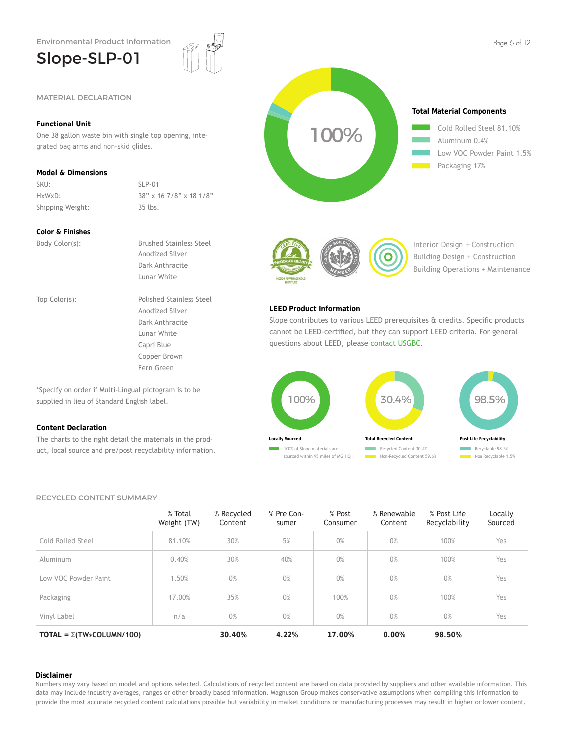## Slope-SLP-01



### **Functional Unit**

One 38 gallon waste bin with single top opening, integrated bag arms and non-skid glides.

### **Model & Dimensions**

SKU: SLP-01 Shipping Weight: 35 lbs.

HxWxD: 38" x 16 7/8" x 18 1/8"

#### **Color & Finishes**

Body Color(s): Brushed Stainless Steel

Anodized Silver Dark Anthracite Lunar White Top Color(s): Polished Stainless Steel Anodized Silver Dark Anthracite Lunar White Capri Blue Copper Brown

Fern Green

\*Specify on order if Multi-Lingual pictogram is to be supplied in lieu of Standard English label.

#### **Content Declaration**

The charts to the right detail the materials in the product, local source and pre/post recyclability information.





Interior Design + Construction Building Design + Construction Building Operations + Maintenance

#### **LEED Product Information**

Slope contributes to various LEED prerequisites & credits. Specific products cannot be LEED-certified, but they can support LEED criteria. For general questions about LEED, please contact USGBC.



#### RECYCLED CONTENT SUMMARY

|                                       | % Total<br>Weight (TW) | % Recycled<br>Content | % Pre Con-<br>sumer | % Post<br>Consumer | % Renewable<br>Content | % Post Life<br>Recyclability | Locally<br>Sourced |
|---------------------------------------|------------------------|-----------------------|---------------------|--------------------|------------------------|------------------------------|--------------------|
| Cold Rolled Steel                     | 81.10%                 | 30%                   | 5%                  | 0%                 | 0%                     | 100%                         | Yes                |
| Aluminum                              | 0.40%                  | 30%                   | 40%                 | 0%                 | 0%                     | 100%                         | Yes                |
| Low VOC Powder Paint                  | 1.50%                  | 0%                    | 0%                  | 0%                 | 0%                     | 0%                           | Yes                |
| Packaging                             | 17.00%                 | 35%                   | 0%                  | 100%               | 0%                     | 100%                         | Yes                |
| Vinyl Label                           | n/a                    | 0%                    | 0%                  | 0%                 | 0%                     | 0%                           | Yes                |
| TOTAL = $\Sigma(TW \star COLUMN/100)$ |                        | 30.40%                | 4.22%               | 17.00%             | 0.00%                  | 98.50%                       |                    |

#### **Disclaimer**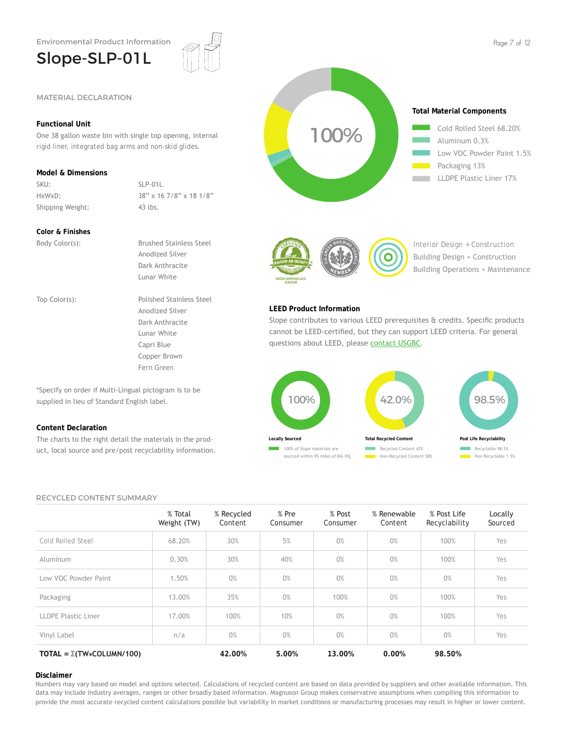## Slope-SLP-01L



### **Functional Unit**

One 38 gallon waste bin with single top opening, internal rigid liner, integrated bag arms and non-skid glides.

### **Model & Dimensions**

SKU: SLP-01L Shipping Weight: 43 lbs.

HxWxD: 38" x 16 7/8" x 18 1/8"

#### **Color & Finishes**

Body Color(s): Brushed Stainless Steel

Anodized Silver Dark Anthracite Lunar White Top Color(s): Polished Stainless Steel Anodized Silver Dark Anthracite Lunar White Capri Blue

Copper Brown Fern Green

\*Specify on order if Multi-Lingual pictogram is to be supplied in lieu of Standard English label.

#### **Content Declaration**

The charts to the right detail the materials in the product, local source and pre/post recyclability information.





Interior Design + Construction Building Design + Construction Building Operations + Maintenance

#### **LEED Product Information**

Slope contributes to various LEED prerequisites & credits. Specific products cannot be LEED-certified, but they can support LEED criteria. For general questions about LEED, please contact USGBC.



#### RECYCLED CONTENT SUMMARY

|                                        | % Total<br>Weight (TW) | % Recycled<br>Content | % Pre<br>Consumer | % Post<br>Consumer | % Renewable<br>Content | % Post Life<br>Recyclability | Locally<br>Sourced |
|----------------------------------------|------------------------|-----------------------|-------------------|--------------------|------------------------|------------------------------|--------------------|
| Cold Rolled Steel                      | 68.20%                 | 30%                   | 5%                | 0%                 | 0%                     | 100%                         | Yes                |
| Aluminum                               | 0.30%                  | 30%                   | 40%               | 0%                 | 0%                     | 100%                         | Yes                |
| Low VOC Powder Paint                   | 1.50%                  | 0%                    | 0%                | 0%                 | 0%                     | 0%                           | Yes                |
| Packaging                              | 13.00%                 | 35%                   | 0%                | 100%               | 0%                     | 100%                         | Yes                |
| <b>LLDPE Plastic Liner</b>             | 17.00%                 | 100%                  | 10%               | 0%                 | 0%                     | 100%                         | Yes                |
| Vinyl Label                            | n/a                    | 0%                    | 0%                | 0%                 | 0%                     | 0%                           | Yes                |
| TOTAL = $\Sigma(TW \times COLUMN/100)$ |                        | 42.00%                | 5.00%             | 13.00%             | 0.00%                  | 98.50%                       |                    |

#### **Disclaimer**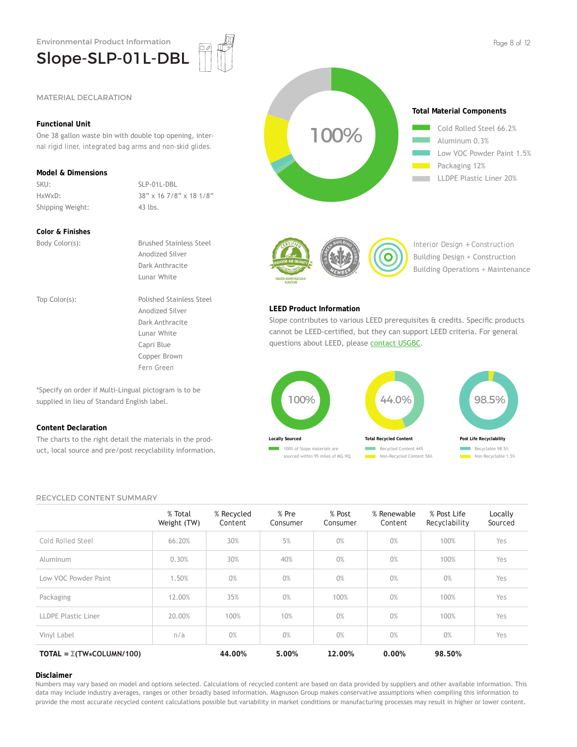

#### **Functional Unit**

One 38 gallon waste bin with double top opening, internal rigid liner, integrated bag arms and non-skid glides.

#### **Model & Dimensions**

SKU: SLP-01L-DBL Shipping Weight: 43 lbs.

HxWxD: 38" x 16 7/8" x 18 1/8"

#### **Color & Finishes**

Body Color(s): Brushed Stainless Steel Anodized Silver Dark Anthracite Lunar White Top Color(s): Polished Stainless Steel Anodized Silver Dark Anthracite Lunar White Capri Blue

> Copper Brown Fern Green

\*Specify on order if Multi-Lingual pictogram is to be supplied in lieu of Standard English label.

#### **Content Declaration**

The charts to the right detail the materials in the product, local source and pre/post recyclability information.





Low VOC Powder Paint 1.5%

LLDPE Plastic Liner 20%



Interior Design + Construction Building Design + Construction Building Operations + Maintenance

#### **LEED Product Information**

Slope contributes to various LEED prerequisites & credits. Specific products cannot be LEED-certified, but they can support LEED criteria. For general questions about LEED, please contact USGBC.



#### RECYCLED CONTENT SUMMARY

|                                        | % Total<br>Weight (TW) | % Recycled<br>Content | % Pre<br>Consumer | % Post<br>Consumer | % Renewable<br>Content | % Post Life<br>Recyclability | Locally<br>Sourced |
|----------------------------------------|------------------------|-----------------------|-------------------|--------------------|------------------------|------------------------------|--------------------|
| Cold Rolled Steel                      | 66.20%                 | 30%                   | 5%                | 0%                 | 0%                     | 100%                         | Yes                |
| Aluminum                               | 0.30%                  | 30%                   | 40%               | 0%                 | 0%                     | 100%                         | Yes                |
| Low VOC Powder Paint                   | 1.50%                  | 0%                    | 0%                | 0%                 | 0%                     | 0%                           | Yes                |
| Packaging                              | 12.00%                 | 35%                   | 0%                | 100%               | 0%                     | 100%                         | Yes                |
| LLDPE Plastic Liner                    | 20.00%                 | 100%                  | 10%               | 0%                 | 0%                     | 100%                         | Yes                |
| Vinyl Label                            | n/a                    | 0%                    | 0%                | 0%                 | 0%                     | 0%                           | Yes                |
| TOTAL = $\Sigma(TW \times COLUMN/100)$ |                        | 44.00%                | 5.00%             | 12.00%             | 0.00%                  | 98.50%                       |                    |

#### **Disclaimer**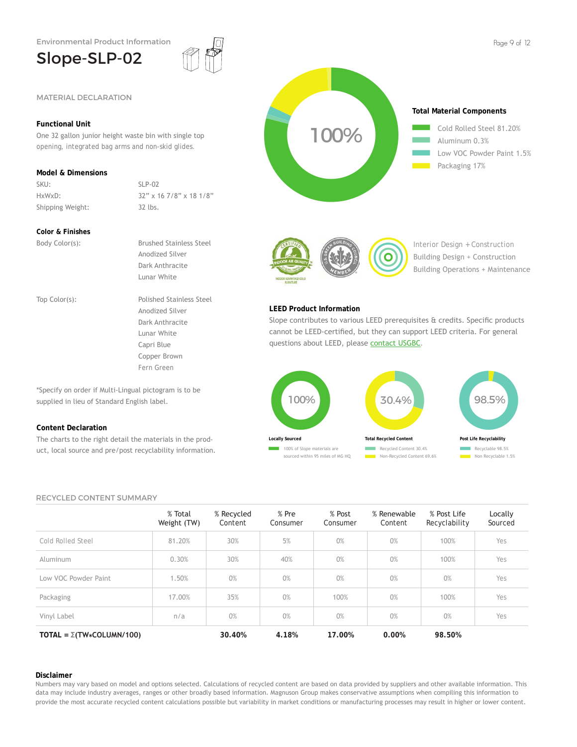## Slope-SLP-02



### **Functional Unit**

**Slope-SLP-02**<br>
MATERIAL DECLARATION<br>
Functional Unit<br>
One 32 gallon junior height waste bin with single top<br>
opening, integrated bag arms and non-skid glides.<br>
Model & Dimensions<br>
SKU:<br>
HxWxD:<br>
Shipping Weight: 32 lbs.<br>
C One 32 gallon junior height waste bin with single top opening, integrated bag arms and non-skid glides.

### **Model & Dimensions**

SKU: SLP-02 Shipping Weight: 32 lbs.

HxWxD: 32" x 16 7/8" x 18 1/8"

#### **Color & Finishes**

Body Color(s): Brushed Stainless Steel

Anodized Silver Dark Anthracite Lunar White Top Color(s): Polished Stainless Steel Anodized Silver Dark Anthracite Lunar White Capri Blue

> Copper Brown Fern Green

\*Specify on order if Multi-Lingual pictogram is to be supplied in lieu of Standard English label.

#### **Content Declaration**

The charts to the right detail the materials in the product, local source and pre/post recyclability information.



**Total Material Components**

25+ 2525+ Cold Rolled Steel 81.20%<br>Aluminum 0.3%<br>Low VOC Powder Paint 1<br>Packaging 17% Aluminum 0.3% Low VOC Powder Paint 1.5% Packaging 17%



100%

Interior Design + Construction Building Design + Construction Building Operations + Maintenance

#### **LEED Product Information**

Slope contributes to various LEED prerequisites & credits. Specific products cannot be LEED-certified, but they can support LEED criteria. For general questions about LEED, please contact USGBC.



#### RECYCLED CONTENT SUMMARY

|                                        | % Total<br>Weight (TW) | % Recycled<br>Content | % Pre<br>Consumer | % Post<br>Consumer | % Renewable<br>Content | % Post Life<br>Recyclability | Locally<br>Sourced |
|----------------------------------------|------------------------|-----------------------|-------------------|--------------------|------------------------|------------------------------|--------------------|
| Cold Rolled Steel                      | 81.20%                 | 30%                   | 5%                | 0%                 | 0%                     | 100%                         | Yes                |
| Aluminum                               | 0.30%                  | 30%                   | 40%               | 0%                 | 0%                     | 100%                         | Yes                |
| Low VOC Powder Paint                   | 1.50%                  | 0%                    | 0%                | 0%                 | 0%                     | 0%                           | Yes                |
| Packaging                              | 17.00%                 | 35%                   | 0%                | 100%               | 0%                     | 100%                         | Yes                |
| Vinyl Label                            | n/a                    | 0%                    | 0%                | 0%                 | 0%                     | 0%                           | Yes                |
| TOTAL = $\Sigma(TW \times COLUMN/100)$ |                        | 30.40%                | 4.18%             | 17.00%             | 0.00%                  | 98.50%                       |                    |

#### **Disclaimer**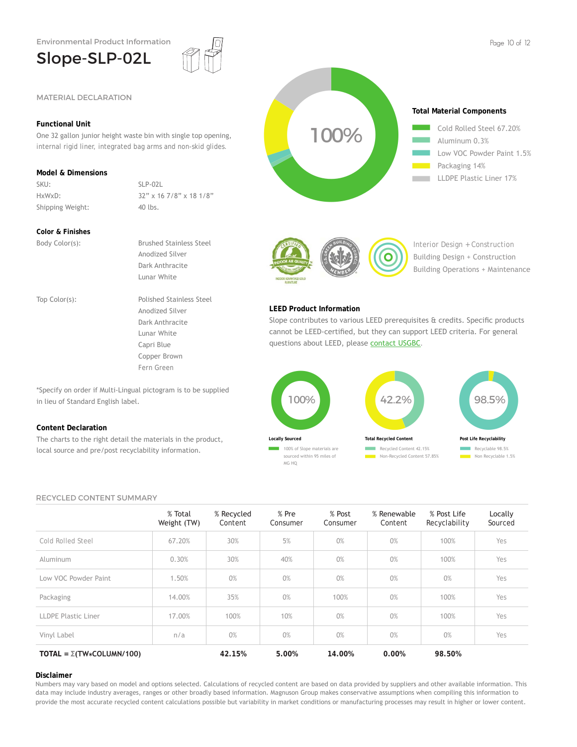## Slope-SLP-02L



### **Functional Unit**

One 32 gallon junior height waste bin with single top opening, internal rigid liner, integrated bag arms and non-skid glides.

### **Model & Dimensions**

SKU: SLP-02L Shipping Weight: 40 lbs.

HxWxD: 32" x 16 7/8" x 18 1/8"

#### **Color & Finishes**

Body Color(s): Brushed Stainless Steel Anodized Silver Dark Anthracite Lunar White Top Color(s): Polished Stainless Steel Anodized Silver Dark Anthracite Lunar White Capri Blue

> Copper Brown Fern Green

\*Specify on order if Multi-Lingual pictogram is to be supplied in lieu of Standard English label.

#### **Content Declaration**

The charts to the right detail the materials in the product, local source and pre/post recyclability information.



LLDPE Plastic Liner 17%



Interior Design + Construction Building Design + Construction Building Operations + Maintenance

#### **LEED Product Information**

Slope contributes to various LEED prerequisites & credits. Specific products cannot be LEED-certified, but they can support LEED criteria. For general questions about LEED, please contact USGBC.



#### RECYCLED CONTENT SUMMARY

|                                        | % Total<br>Weight (TW) | % Recycled<br>Content | % Pre<br>Consumer | % Post<br>Consumer | % Renewable<br>Content | % Post Life<br>Recyclability | Locally<br>Sourced |
|----------------------------------------|------------------------|-----------------------|-------------------|--------------------|------------------------|------------------------------|--------------------|
| Cold Rolled Steel                      | 67.20%                 | 30%                   | 5%                | 0%                 | 0%                     | 100%                         | Yes                |
| Aluminum                               | 0.30%                  | 30%                   | 40%               | 0%                 | 0%                     | 100%                         | Yes                |
| Low VOC Powder Paint                   | 1.50%                  | 0%                    | 0%                | 0%                 | 0%                     | 0%                           | Yes                |
| Packaging                              | 14.00%                 | 35%                   | 0%                | 100%               | 0%                     | 100%                         | Yes                |
| <b>LLDPE Plastic Liner</b>             | 17.00%                 | 100%                  | 10%               | 0%                 | 0%                     | 100%                         | Yes                |
| Vinyl Label                            | n/a                    | 0%                    | 0%                | 0%                 | 0%                     | 0%                           | Yes                |
| TOTAL = $\Sigma(TW \times COLUMN/100)$ |                        | 42.15%                | 5.00%             | 14.00%             | 0.00%                  | 98.50%                       |                    |

#### **Disclaimer**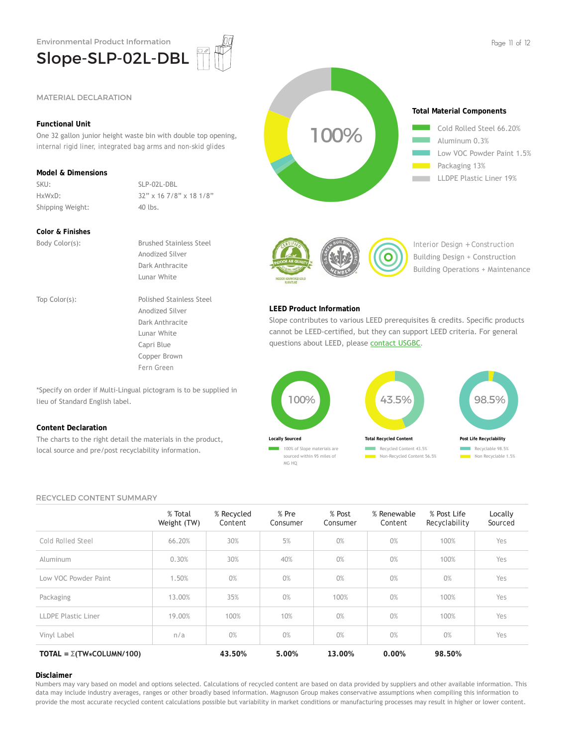

#### **Functional Unit**

One 32 gallon junior height waste bin with double top opening, internal rigid liner, integrated bag arms and non-skid glides

#### **Model & Dimensions**

SKU: SLP-02L-DBL Shipping Weight: 40 lbs.

HxWxD: 32" x 16 7/8" x 18 1/8"

#### **Color & Finishes**

Body Color(s): Brushed Stainless Steel

Anodized Silver Dark Anthracite Lunar White Top Color(s): Polished Stainless Steel Anodized Silver Dark Anthracite Lunar White Capri Blue

> Copper Brown Fern Green

\*Specify on order if Multi-Lingual pictogram is to be supplied in lieu of Standard English label.

#### **Content Declaration**

The charts to the right detail the materials in the product, local source and pre/post recyclability information.



Interior Design + Construction Building Design + Construction Building Operations + Maintenance

#### **LEED Product Information**

Slope contributes to various LEED prerequisites & credits. Specific products cannot be LEED-certified, but they can support LEED criteria. For general questions about LEED, please contact USGBC.



#### RECYCLED CONTENT SUMMARY

|                                       | % Total<br>Weight (TW) | % Recycled<br>Content | % Pre<br>Consumer | % Post<br>Consumer | % Renewable<br>Content | % Post Life<br>Recyclability | Locally<br>Sourced |
|---------------------------------------|------------------------|-----------------------|-------------------|--------------------|------------------------|------------------------------|--------------------|
| Cold Rolled Steel                     | 66.20%                 | 30%                   | 5%                | 0%                 | 0%                     | 100%                         | Yes                |
| Aluminum                              | 0.30%                  | 30%                   | 40%               | 0%                 | 0%                     | 100%                         | Yes                |
| Low VOC Powder Paint                  | 1.50%                  | 0%                    | 0%                | 0%                 | 0%                     | 0%                           | Yes                |
| Packaging                             | 13.00%                 | 35%                   | 0%                | 100%               | 0%                     | 100%                         | Yes                |
| LLDPE Plastic Liner                   | 19.00%                 | 100%                  | 10%               | 0%                 | 0%                     | 100%                         | Yes                |
| Vinyl Label                           | n/a                    | 0%                    | 0%                | 0%                 | 0%                     | 0%                           | Yes                |
| TOTAL = $\Sigma(TW \star COLUMN/100)$ |                        | 43.50%                | 5.00%             | 13.00%             | 0.00%                  | 98.50%                       |                    |

#### **Disclaimer**